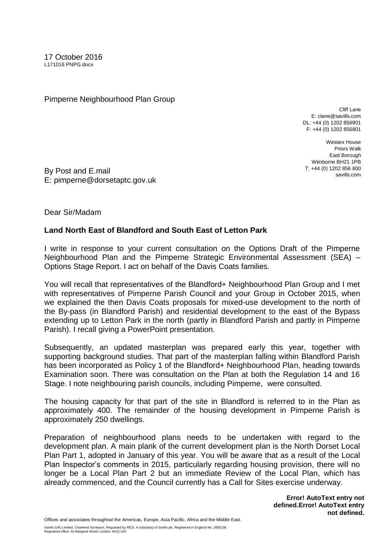Pimperne Neighbourhood Plan Group

Cliff Lane E: clane@savills.com DL: +44 (0) 1202 856901 F: +44 (0) 1202 856801

Wessex House Priors Walk East Borough Wimborne BH21 1PB T: +44 (0) 1202 856 800 savills.com

By Post and E.mail E: pimperne@dorsetaptc.gov.uk

Dear Sir/Madam

## **Land North East of Blandford and South East of Letton Park**

I write in response to your current consultation on the Options Draft of the Pimperne Neighbourhood Plan and the Pimperne Strategic Environmental Assessment (SEA) – Options Stage Report. I act on behalf of the Davis Coats families.

You will recall that representatives of the Blandford+ Neighbourhood Plan Group and I met with representatives of Pimperne Parish Council and your Group in October 2015, when we explained the then Davis Coats proposals for mixed-use development to the north of the By-pass (in Blandford Parish) and residential development to the east of the Bypass extending up to Letton Park in the north (partly in Blandford Parish and partly in Pimperne Parish). I recall giving a PowerPoint presentation.

Subsequently, an updated masterplan was prepared early this year, together with supporting background studies. That part of the masterplan falling within Blandford Parish has been incorporated as Policy 1 of the Blandford+ Neighbourhood Plan, heading towards Examination soon. There was consultation on the Plan at both the Regulation 14 and 16 Stage. I note neighbouring parish councils, including Pimperne, were consulted.

The housing capacity for that part of the site in Blandford is referred to in the Plan as approximately 400. The remainder of the housing development in Pimperne Parish is approximately 250 dwellings.

Preparation of neighbourhood plans needs to be undertaken with regard to the development plan. A main plank of the current development plan is the North Dorset Local Plan Part 1, adopted in January of this year. You will be aware that as a result of the Local Plan Inspector's comments in 2015, particularly regarding housing provision, there will no longer be a Local Plan Part 2 but an immediate Review of the Local Plan, which has already commenced, and the Council currently has a Call for Sites exercise underway.

> **Error! AutoText entry not defined.Error! AutoText entry not defined.**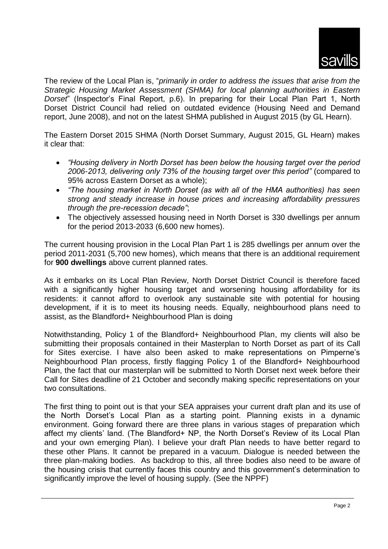

The review of the Local Plan is, "*primarily in order to address the issues that arise from the Strategic Housing Market Assessment (SHMA) for local planning authorities in Eastern Dorset*" (Inspector's Final Report, p.6). In preparing for their Local Plan Part 1, North Dorset District Council had relied on outdated evidence (Housing Need and Demand report, June 2008), and not on the latest SHMA published in August 2015 (by GL Hearn).

The Eastern Dorset 2015 SHMA (North Dorset Summary, August 2015, GL Hearn) makes it clear that:

- *"Housing delivery in North Dorset has been below the housing target over the period 2006-2013, delivering only 73% of the housing target over this period"* (compared to 95% across Eastern Dorset as a whole);
- *"The housing market in North Dorset (as with all of the HMA authorities) has seen strong and steady increase in house prices and increasing affordability pressures through the pre-recession decade"*;
- The objectively assessed housing need in North Dorset is 330 dwellings per annum for the period 2013-2033 (6,600 new homes).

The current housing provision in the Local Plan Part 1 is 285 dwellings per annum over the period 2011-2031 (5,700 new homes), which means that there is an additional requirement for **900 dwellings** above current planned rates.

As it embarks on its Local Plan Review, North Dorset District Council is therefore faced with a significantly higher housing target and worsening housing affordability for its residents: it cannot afford to overlook any sustainable site with potential for housing development, if it is to meet its housing needs. Equally, neighbourhood plans need to assist, as the Blandford+ Neighbourhood Plan is doing

Notwithstanding, Policy 1 of the Blandford+ Neighbourhood Plan, my clients will also be submitting their proposals contained in their Masterplan to North Dorset as part of its Call for Sites exercise. I have also been asked to make representations on Pimperne's Neighbourhood Plan process, firstly flagging Policy 1 of the Blandford+ Neighbourhood Plan, the fact that our masterplan will be submitted to North Dorset next week before their Call for Sites deadline of 21 October and secondly making specific representations on your two consultations.

The first thing to point out is that your SEA appraises your current draft plan and its use of the North Dorset's Local Plan as a starting point. Planning exists in a dynamic environment. Going forward there are three plans in various stages of preparation which affect my clients' land. (The Blandford+ NP, the North Dorset's Review of its Local Plan and your own emerging Plan). I believe your draft Plan needs to have better regard to these other Plans. It cannot be prepared in a vacuum. Dialogue is needed between the three plan-making bodies. As backdrop to this, all three bodies also need to be aware of the housing crisis that currently faces this country and this government's determination to significantly improve the level of housing supply. (See the NPPF)